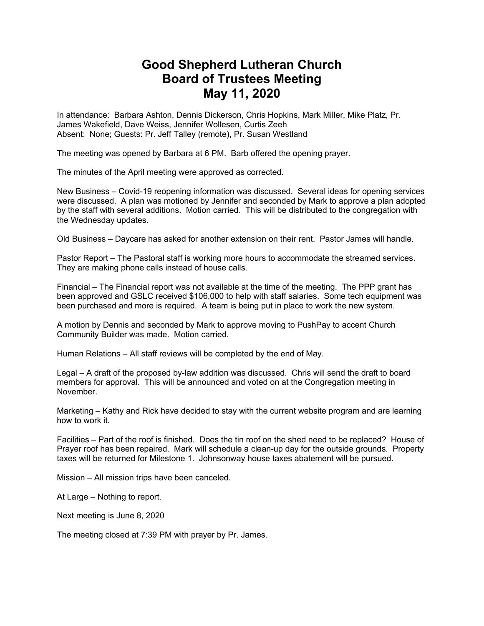## **Good Shepherd Lutheran Church Board of Trustees Meeting May 11, 2020**

In attendance: Barbara Ashton, Dennis Dickerson, Chris Hopkins, Mark Miller, Mike Platz, Pr. James Wakefield, Dave Weiss, Jennifer Wollesen, Curtis Zeeh Absent: None; Guests: Pr. Jeff Talley (remote), Pr. Susan Westland

The meeting was opened by Barbara at 6 PM. Barb offered the opening prayer.

The minutes of the April meeting were approved as corrected.

New Business – Covid-19 reopening information was discussed. Several ideas for opening services were discussed. A plan was motioned by Jennifer and seconded by Mark to approve a plan adopted by the staff with several additions. Motion carried. This will be distributed to the congregation with the Wednesday updates.

Old Business – Daycare has asked for another extension on their rent. Pastor James will handle.

Pastor Report – The Pastoral staff is working more hours to accommodate the streamed services. They are making phone calls instead of house calls.

Financial – The Financial report was not available at the time of the meeting. The PPP grant has been approved and GSLC received \$106,000 to help with staff salaries. Some tech equipment was been purchased and more is required. A team is being put in place to work the new system.

A motion by Dennis and seconded by Mark to approve moving to PushPay to accent Church Community Builder was made. Motion carried.

Human Relations – All staff reviews will be completed by the end of May.

Legal – A draft of the proposed by-law addition was discussed. Chris will send the draft to board members for approval. This will be announced and voted on at the Congregation meeting in November.

Marketing – Kathy and Rick have decided to stay with the current website program and are learning how to work it.

Facilities – Part of the roof is finished. Does the tin roof on the shed need to be replaced? House of Prayer roof has been repaired. Mark will schedule a clean-up day for the outside grounds. Property taxes will be returned for Milestone 1. Johnsonway house taxes abatement will be pursued.

Mission – All mission trips have been canceled.

At Large – Nothing to report.

Next meeting is June 8, 2020

The meeting closed at 7:39 PM with prayer by Pr. James.